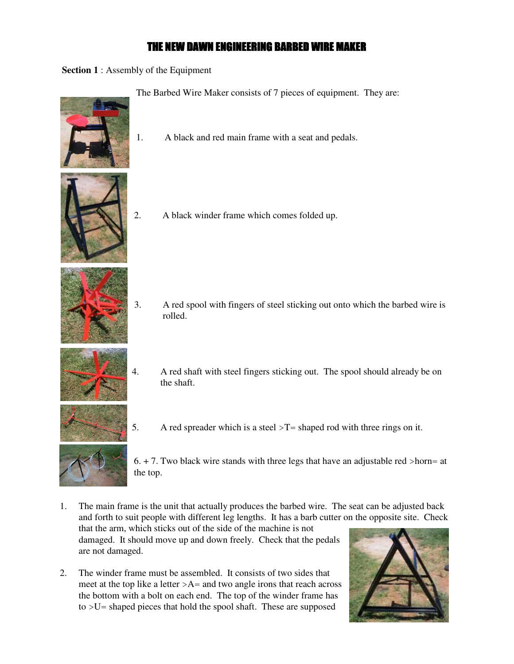# THE NEW DAWN ENGINEERING BARBED WIRE MAKER

**Section 1** : Assembly of the Equipment



The Barbed Wire Maker consists of 7 pieces of equipment. They are:

1. A black and red main frame with a seat and pedals.



2. A black winder frame which comes folded up.



3. A red spool with fingers of steel sticking out onto which the barbed wire is rolled.



- 4. A red shaft with steel fingers sticking out. The spool should already be on the shaft.
- 5. A red spreader which is a steel  $\Sigma$  = shaped rod with three rings on it.

 $6. + 7$ . Two black wire stands with three legs that have an adjustable red >horn= at the top.

- 1. The main frame is the unit that actually produces the barbed wire. The seat can be adjusted back and forth to suit people with different leg lengths. It has a barb cutter on the opposite site. Check that the arm, which sticks out of the side of the machine is not damaged. It should move up and down freely. Check that the pedals are not damaged.
- 2. The winder frame must be assembled. It consists of two sides that meet at the top like a letter  $>A$ = and two angle irons that reach across the bottom with a bolt on each end. The top of the winder frame has to >U= shaped pieces that hold the spool shaft. These are supposed

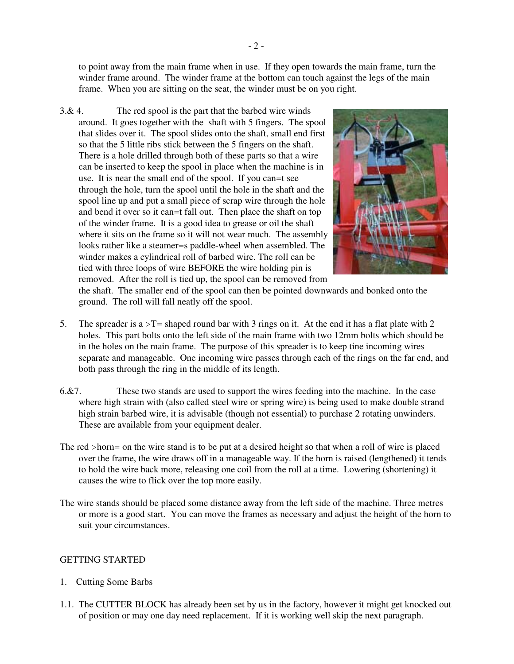to point away from the main frame when in use. If they open towards the main frame, turn the winder frame around. The winder frame at the bottom can touch against the legs of the main frame. When you are sitting on the seat, the winder must be on you right.

3.& 4. The red spool is the part that the barbed wire winds around. It goes together with the shaft with 5 fingers. The spool that slides over it. The spool slides onto the shaft, small end first so that the 5 little ribs stick between the 5 fingers on the shaft. There is a hole drilled through both of these parts so that a wire can be inserted to keep the spool in place when the machine is in use. It is near the small end of the spool. If you can=t see through the hole, turn the spool until the hole in the shaft and the spool line up and put a small piece of scrap wire through the hole and bend it over so it can=t fall out. Then place the shaft on top of the winder frame. It is a good idea to grease or oil the shaft where it sits on the frame so it will not wear much. The assembly looks rather like a steamer=s paddle-wheel when assembled. The winder makes a cylindrical roll of barbed wire. The roll can be tied with three loops of wire BEFORE the wire holding pin is removed. After the roll is tied up, the spool can be removed from



the shaft. The smaller end of the spool can then be pointed downwards and bonked onto the ground. The roll will fall neatly off the spool.

- 5. The spreader is a  $\Sigma$  = shaped round bar with 3 rings on it. At the end it has a flat plate with 2 holes. This part bolts onto the left side of the main frame with two 12mm bolts which should be in the holes on the main frame. The purpose of this spreader is to keep tine incoming wires separate and manageable. One incoming wire passes through each of the rings on the far end, and both pass through the ring in the middle of its length.
- 6.&7. These two stands are used to support the wires feeding into the machine. In the case where high strain with (also called steel wire or spring wire) is being used to make double strand high strain barbed wire, it is advisable (though not essential) to purchase 2 rotating unwinders. These are available from your equipment dealer.
- The red >horn= on the wire stand is to be put at a desired height so that when a roll of wire is placed over the frame, the wire draws off in a manageable way. If the horn is raised (lengthened) it tends to hold the wire back more, releasing one coil from the roll at a time. Lowering (shortening) it causes the wire to flick over the top more easily.
- The wire stands should be placed some distance away from the left side of the machine. Three metres or more is a good start. You can move the frames as necessary and adjust the height of the horn to suit your circumstances.

## GETTING STARTED

- 1. Cutting Some Barbs
- 1.1. The CUTTER BLOCK has already been set by us in the factory, however it might get knocked out of position or may one day need replacement. If it is working well skip the next paragraph.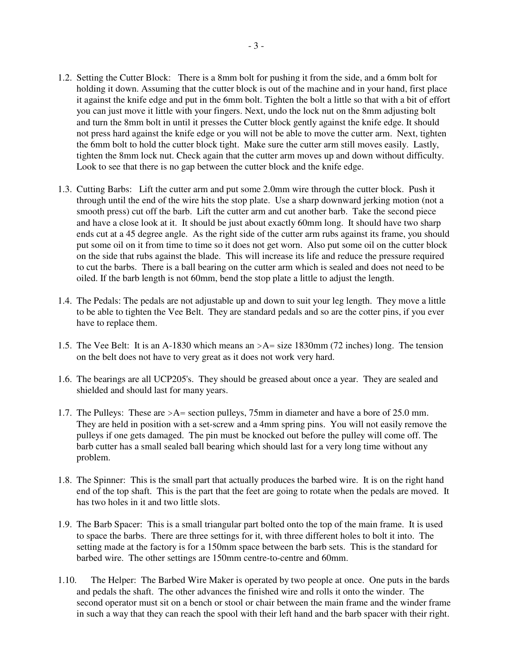- 1.2. Setting the Cutter Block: There is a 8mm bolt for pushing it from the side, and a 6mm bolt for holding it down. Assuming that the cutter block is out of the machine and in your hand, first place it against the knife edge and put in the 6mm bolt. Tighten the bolt a little so that with a bit of effort you can just move it little with your fingers. Next, undo the lock nut on the 8mm adjusting bolt and turn the 8mm bolt in until it presses the Cutter block gently against the knife edge. It should not press hard against the knife edge or you will not be able to move the cutter arm. Next, tighten the 6mm bolt to hold the cutter block tight. Make sure the cutter arm still moves easily. Lastly, tighten the 8mm lock nut. Check again that the cutter arm moves up and down without difficulty. Look to see that there is no gap between the cutter block and the knife edge.
- 1.3. Cutting Barbs: Lift the cutter arm and put some 2.0mm wire through the cutter block. Push it through until the end of the wire hits the stop plate. Use a sharp downward jerking motion (not a smooth press) cut off the barb. Lift the cutter arm and cut another barb. Take the second piece and have a close look at it. It should be just about exactly 60mm long. It should have two sharp ends cut at a 45 degree angle. As the right side of the cutter arm rubs against its frame, you should put some oil on it from time to time so it does not get worn. Also put some oil on the cutter block on the side that rubs against the blade. This will increase its life and reduce the pressure required to cut the barbs. There is a ball bearing on the cutter arm which is sealed and does not need to be oiled. If the barb length is not 60mm, bend the stop plate a little to adjust the length.
- 1.4. The Pedals: The pedals are not adjustable up and down to suit your leg length. They move a little to be able to tighten the Vee Belt. They are standard pedals and so are the cotter pins, if you ever have to replace them.
- 1.5. The Vee Belt: It is an A-1830 which means an >A= size 1830mm (72 inches) long. The tension on the belt does not have to very great as it does not work very hard.
- 1.6. The bearings are all UCP205's. They should be greased about once a year. They are sealed and shielded and should last for many years.
- 1.7. The Pulleys: These are >A= section pulleys, 75mm in diameter and have a bore of 25.0 mm. They are held in position with a set-screw and a 4mm spring pins. You will not easily remove the pulleys if one gets damaged. The pin must be knocked out before the pulley will come off. The barb cutter has a small sealed ball bearing which should last for a very long time without any problem.
- 1.8. The Spinner: This is the small part that actually produces the barbed wire. It is on the right hand end of the top shaft. This is the part that the feet are going to rotate when the pedals are moved. It has two holes in it and two little slots.
- 1.9. The Barb Spacer: This is a small triangular part bolted onto the top of the main frame. It is used to space the barbs. There are three settings for it, with three different holes to bolt it into. The setting made at the factory is for a 150mm space between the barb sets. This is the standard for barbed wire. The other settings are 150mm centre-to-centre and 60mm.
- 1.10. The Helper: The Barbed Wire Maker is operated by two people at once. One puts in the bards and pedals the shaft. The other advances the finished wire and rolls it onto the winder. The second operator must sit on a bench or stool or chair between the main frame and the winder frame in such a way that they can reach the spool with their left hand and the barb spacer with their right.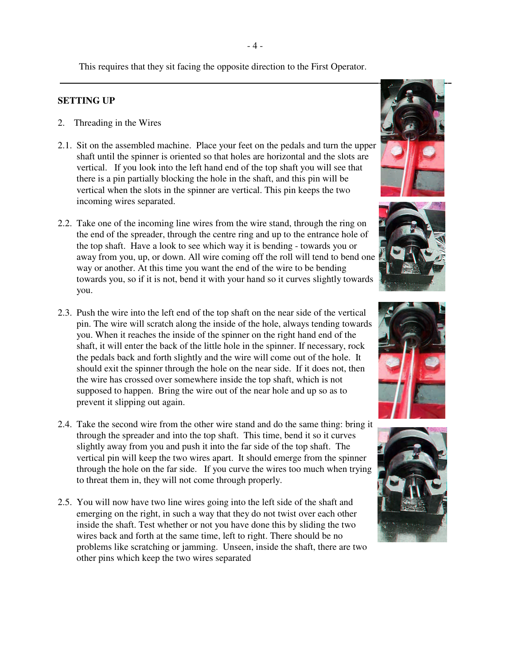This requires that they sit facing the opposite direction to the First Operator.

## **SETTING UP**

- 2. Threading in the Wires
- 2.1. Sit on the assembled machine. Place your feet on the pedals and turn the upper shaft until the spinner is oriented so that holes are horizontal and the slots are vertical. If you look into the left hand end of the top shaft you will see that there is a pin partially blocking the hole in the shaft, and this pin will be vertical when the slots in the spinner are vertical. This pin keeps the two incoming wires separated.
- 2.2. Take one of the incoming line wires from the wire stand, through the ring on the end of the spreader, through the centre ring and up to the entrance hole of the top shaft. Have a look to see which way it is bending - towards you or away from you, up, or down. All wire coming off the roll will tend to bend one way or another. At this time you want the end of the wire to be bending towards you, so if it is not, bend it with your hand so it curves slightly towards you.
- 2.3. Push the wire into the left end of the top shaft on the near side of the vertical pin. The wire will scratch along the inside of the hole, always tending towards you. When it reaches the inside of the spinner on the right hand end of the shaft, it will enter the back of the little hole in the spinner. If necessary, rock the pedals back and forth slightly and the wire will come out of the hole. It should exit the spinner through the hole on the near side. If it does not, then the wire has crossed over somewhere inside the top shaft, which is not supposed to happen. Bring the wire out of the near hole and up so as to prevent it slipping out again.
- 2.4. Take the second wire from the other wire stand and do the same thing: bring it through the spreader and into the top shaft. This time, bend it so it curves slightly away from you and push it into the far side of the top shaft. The vertical pin will keep the two wires apart. It should emerge from the spinner through the hole on the far side. If you curve the wires too much when trying to threat them in, they will not come through properly.
- 2.5. You will now have two line wires going into the left side of the shaft and emerging on the right, in such a way that they do not twist over each other inside the shaft. Test whether or not you have done this by sliding the two wires back and forth at the same time, left to right. There should be no problems like scratching or jamming. Unseen, inside the shaft, there are two other pins which keep the two wires separated









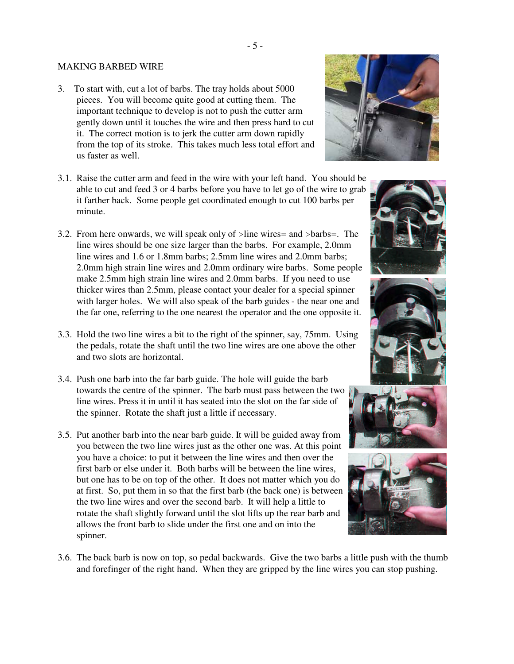## MAKING BARBED WIRE

3. To start with, cut a lot of barbs. The tray holds about 5000 pieces. You will become quite good at cutting them. The important technique to develop is not to push the cutter arm gently down until it touches the wire and then press hard to cut it. The correct motion is to jerk the cutter arm down rapidly from the top of its stroke. This takes much less total effort and us faster as well.



- 3.1. Raise the cutter arm and feed in the wire with your left hand. You should be able to cut and feed 3 or 4 barbs before you have to let go of the wire to grab it farther back. Some people get coordinated enough to cut 100 barbs per minute.
- 3.2. From here onwards, we will speak only of >line wires= and >barbs=. The line wires should be one size larger than the barbs. For example, 2.0mm line wires and 1.6 or 1.8mm barbs; 2.5mm line wires and 2.0mm barbs; 2.0mm high strain line wires and 2.0mm ordinary wire barbs. Some people make 2.5mm high strain line wires and 2.0mm barbs. If you need to use thicker wires than 2.5mm, please contact your dealer for a special spinner with larger holes. We will also speak of the barb guides - the near one and the far one, referring to the one nearest the operator and the one opposite it.
- 3.3. Hold the two line wires a bit to the right of the spinner, say, 75mm. Using the pedals, rotate the shaft until the two line wires are one above the other and two slots are horizontal.
- 3.4. Push one barb into the far barb guide. The hole will guide the barb towards the centre of the spinner. The barb must pass between the two line wires. Press it in until it has seated into the slot on the far side of the spinner. Rotate the shaft just a little if necessary.
- 3.5. Put another barb into the near barb guide. It will be guided away from you between the two line wires just as the other one was. At this point you have a choice: to put it between the line wires and then over the first barb or else under it. Both barbs will be between the line wires, but one has to be on top of the other. It does not matter which you do at first. So, put them in so that the first barb (the back one) is between the two line wires and over the second barb. It will help a little to rotate the shaft slightly forward until the slot lifts up the rear barb and allows the front barb to slide under the first one and on into the spinner.











3.6. The back barb is now on top, so pedal backwards. Give the two barbs a little push with the thumb and forefinger of the right hand. When they are gripped by the line wires you can stop pushing.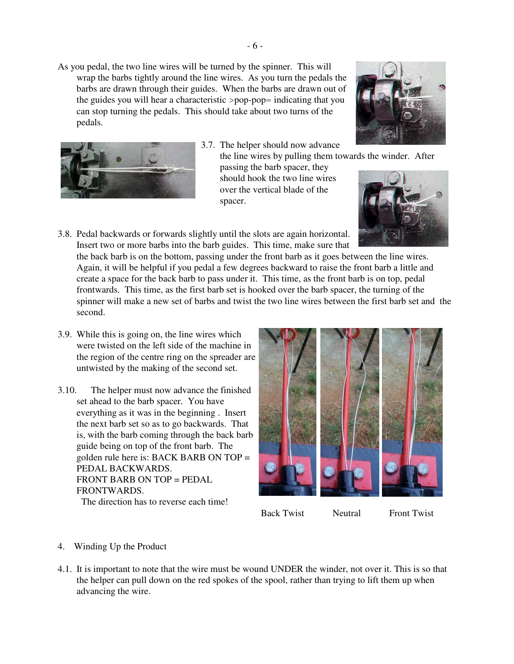As you pedal, the two line wires will be turned by the spinner. This will wrap the barbs tightly around the line wires. As you turn the pedals the barbs are drawn through their guides. When the barbs are drawn out of the guides you will hear a characteristic >pop-pop= indicating that you can stop turning the pedals. This should take about two turns of the pedals.



- 3.7. The helper should now advance
	- the line wires by pulling them towards the winder. After passing the barb spacer, they should hook the two line wires over the vertical blade of the spacer.





3.8. Pedal backwards or forwards slightly until the slots are again horizontal. Insert two or more barbs into the barb guides. This time, make sure that

the back barb is on the bottom, passing under the front barb as it goes between the line wires. Again, it will be helpful if you pedal a few degrees backward to raise the front barb a little and create a space for the back barb to pass under it. This time, as the front barb is on top, pedal frontwards. This time, as the first barb set is hooked over the barb spacer, the turning of the spinner will make a new set of barbs and twist the two line wires between the first barb set and the second.

- 3.9. While this is going on, the line wires which were twisted on the left side of the machine in the region of the centre ring on the spreader are untwisted by the making of the second set.
- 3.10. The helper must now advance the finished set ahead to the barb spacer. You have everything as it was in the beginning . Insert the next barb set so as to go backwards. That is, with the barb coming through the back barb guide being on top of the front barb. The golden rule here is: BACK BARB ON TOP = PEDAL BACKWARDS. FRONT BARB ON TOP = PEDAL **FRONTWARDS** The direction has to reverse each time!



Back Twist Neutral Front Twist

- 4. Winding Up the Product
- 4.1. It is important to note that the wire must be wound UNDER the winder, not over it. This is so that the helper can pull down on the red spokes of the spool, rather than trying to lift them up when advancing the wire.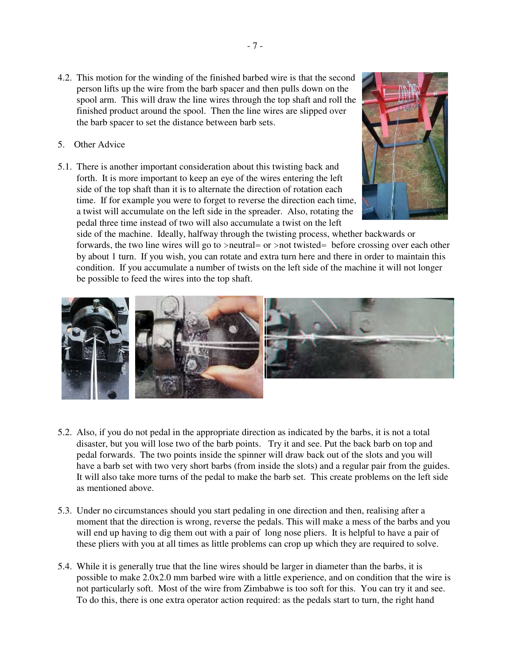- 4.2. This motion for the winding of the finished barbed wire is that the second person lifts up the wire from the barb spacer and then pulls down on the spool arm. This will draw the line wires through the top shaft and roll the finished product around the spool. Then the line wires are slipped over the barb spacer to set the distance between barb sets.
- 5. Other Advice
- 5.1. There is another important consideration about this twisting back and forth. It is more important to keep an eye of the wires entering the left side of the top shaft than it is to alternate the direction of rotation each time. If for example you were to forget to reverse the direction each time, a twist will accumulate on the left side in the spreader. Also, rotating the pedal three time instead of two will also accumulate a twist on the left



side of the machine. Ideally, halfway through the twisting process, whether backwards or forwards, the two line wires will go to >neutral= or >not twisted= before crossing over each other by about 1 turn. If you wish, you can rotate and extra turn here and there in order to maintain this condition. If you accumulate a number of twists on the left side of the machine it will not longer be possible to feed the wires into the top shaft.



- 5.2. Also, if you do not pedal in the appropriate direction as indicated by the barbs, it is not a total disaster, but you will lose two of the barb points. Try it and see. Put the back barb on top and pedal forwards. The two points inside the spinner will draw back out of the slots and you will have a barb set with two very short barbs (from inside the slots) and a regular pair from the guides. It will also take more turns of the pedal to make the barb set. This create problems on the left side as mentioned above.
- 5.3. Under no circumstances should you start pedaling in one direction and then, realising after a moment that the direction is wrong, reverse the pedals. This will make a mess of the barbs and you will end up having to dig them out with a pair of long nose pliers. It is helpful to have a pair of these pliers with you at all times as little problems can crop up which they are required to solve.
- 5.4. While it is generally true that the line wires should be larger in diameter than the barbs, it is possible to make 2.0x2.0 mm barbed wire with a little experience, and on condition that the wire is not particularly soft. Most of the wire from Zimbabwe is too soft for this. You can try it and see. To do this, there is one extra operator action required: as the pedals start to turn, the right hand